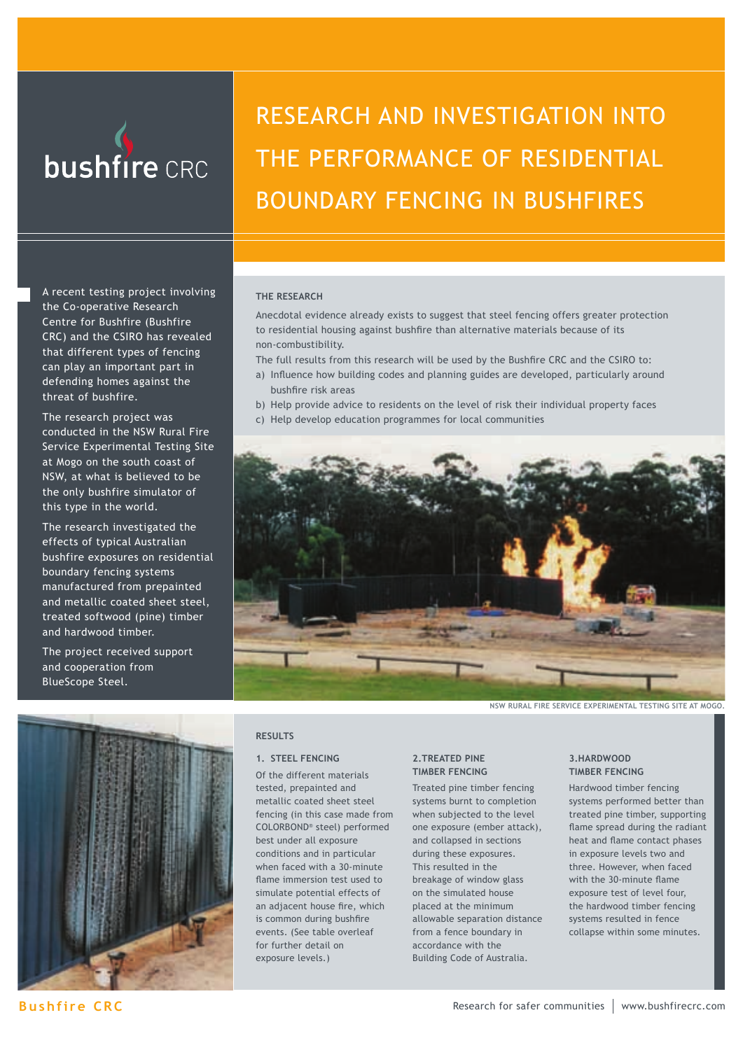

# RESEARCH AND INVESTIGATION INTO THE PERFORMANCE OF RESIDENTIAL BOUNDARY FENCING IN BUSHFIRES

A recent testing project involving the Co-operative Research Centre for Bushfire (Bushfire CRC) and the CSIRO has revealed that different types of fencing can play an important part in defending homes against the threat of bushfire.

The research project was conducted in the NSW Rural Fire Service Experimental Testing Site at Mogo on the south coast of NSW, at what is believed to be the only bushfire simulator of this type in the world.

The research investigated the effects of typical Australian bushfire exposures on residential boundary fencing systems manufactured from prepainted and metallic coated sheet steel, treated softwood (pine) timber and hardwood timber.

The project received support and cooperation from BlueScope Steel.



**THE RESEARCH**

Anecdotal evidence already exists to suggest that steel fencing offers greater protection to residential housing against bushfire than alternative materials because of its non-combustibility.

The full results from this research will be used by the Bushfire CRC and the CSIRO to:

- a) Influence how building codes and planning guides are developed, particularly around bushfire risk areas
- b) Help provide advice to residents on the level of risk their individual property faces
- c) Help develop education programmes for local communities



**NSW RURAL FIRE SERVICE EXPERIMENTAL TESTING SITE AT MOGO.**

### **RESULTS**

#### **1. STEEL FENCING**

Of the different materials tested, prepainted and metallic coated sheet steel fencing (in this case made from COLORBOND® steel) performed best under all exposure conditions and in particular when faced with a 30-minute flame immersion test used to simulate potential effects of an adjacent house fire, which is common during bushfire events. (See table overleaf for further detail on exposure levels.)

#### **2.TREATED PINE TIMBER FENCING**

Treated pine timber fencing systems burnt to completion when subjected to the level one exposure (ember attack), and collapsed in sections during these exposures. This resulted in the breakage of window glass on the simulated house placed at the minimum allowable separation distance from a fence boundary in accordance with the Building Code of Australia.

#### **3.HARDWOOD TIMBER FENCING**

Hardwood timber fencing systems performed better than treated pine timber, supporting flame spread during the radiant heat and flame contact phases in exposure levels two and three. However, when faced with the 30-minute flame exposure test of level four, the hardwood timber fencing systems resulted in fence collapse within some minutes.

**Bushfire CRC**